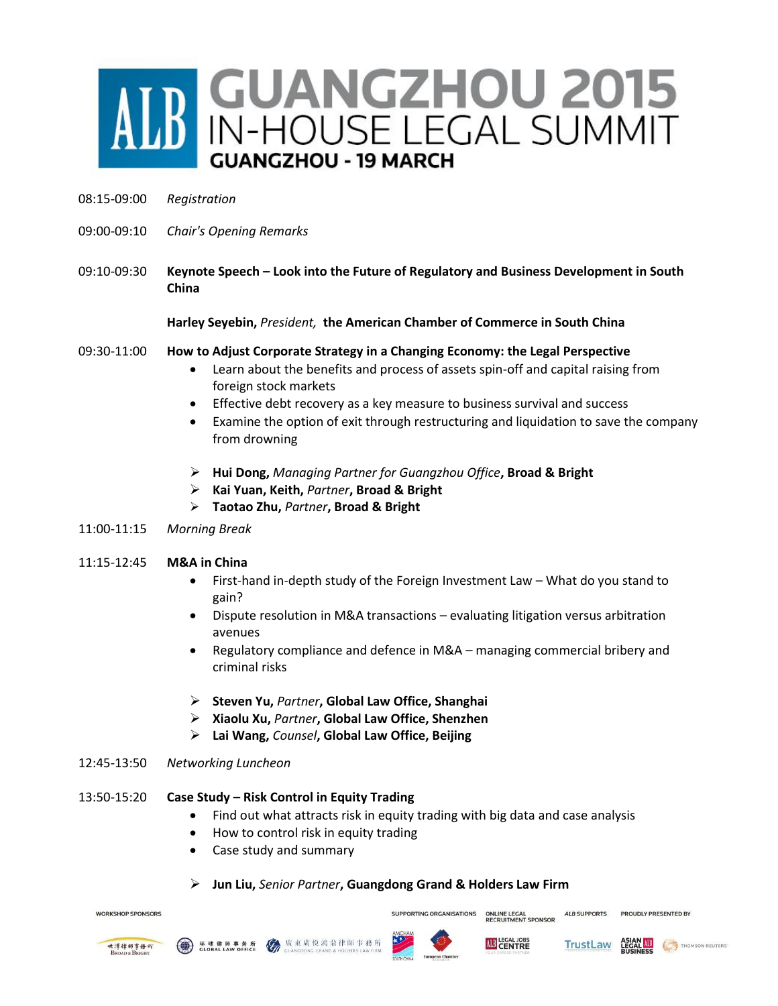# **B** GUANGZHOU 2015 **GUANGZHOU - 19 MARCH**

- 08:15-09:00 *Registration*
- 09:00-09:10 *Chair's Opening Remarks*
- 09:10-09:30 **Keynote Speech – Look into the Future of Regulatory and Business Development in South China**

**Harley Seyebin,** *President,* **the American Chamber of Commerce in South China**

#### 09:30-11:00 **How to Adjust Corporate Strategy in a Changing Economy: the Legal Perspective**

- Learn about the benefits and process of assets spin-off and capital raising from foreign stock markets
- Effective debt recovery as a key measure to business survival and success
- Examine the option of exit through restructuring and liquidation to save the company from drowning
- **Hui Dong,** *Managing Partner for Guangzhou Office***, Broad & Bright**
- **Kai Yuan, Keith,** *Partner***, Broad & Bright**
- **Taotao Zhu,** *Partner***, Broad & Bright**
- 11:00-11:15 *Morning Break*

## 11:15-12:45 **M&A in China**

- First-hand in-depth study of the Foreign Investment Law What do you stand to gain?
- Dispute resolution in M&A transactions evaluating litigation versus arbitration avenues
- Regulatory compliance and defence in M&A managing commercial bribery and criminal risks
- **Steven Yu,** *Partner***, Global Law Office, Shanghai**
- **Xiaolu Xu,** *Partner***, Global Law Office, Shenzhen**
- **Lai Wang,** *Counsel***, Global Law Office, Beijing**

#### 12:45-13:50 *Networking Luncheon*

#### 13:50-15:20 **Case Study – Risk Control in Equity Trading**

- Find out what attracts risk in equity trading with big data and case analysis
- How to control risk in equity trading
- Case study and summary
- **Jun Liu,** *Senior Partner***, Guangdong Grand & Holders Law Firm**

**WORKSHOP SPONSORS** 







**SUPPORTING ORGANISATIONS** 



**ALB SUPPORTS** 

ONLINE LEGAL<br>RECRUITMENT SPONSOR